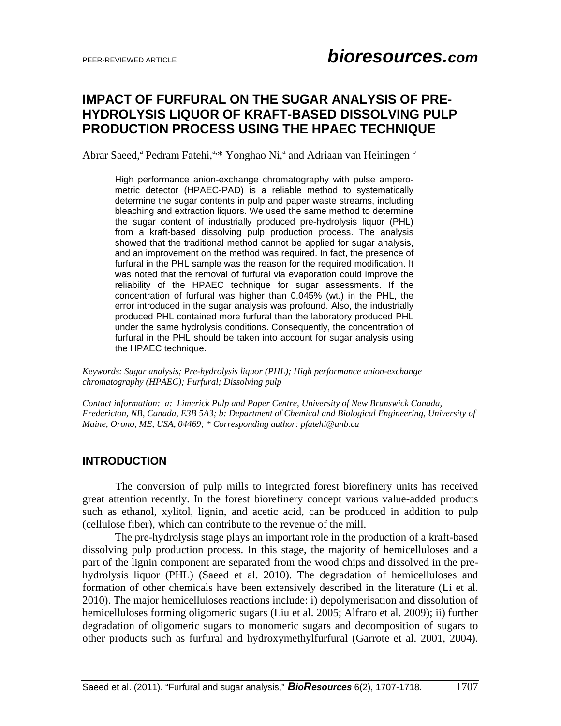# **IMPACT OF FURFURAL ON THE SUGAR ANALYSIS OF PRE-HYDROLYSIS LIQUOR OF KRAFT-BASED DISSOLVING PULP PRODUCTION PROCESS USING THE HPAEC TECHNIQUE**

Abrar Saeed,<sup>a</sup> Pedram Fatehi,<sup>a,\*</sup> Yonghao Ni,<sup>a</sup> and Adriaan van Heiningen <sup>b</sup>

High performance anion-exchange chromatography with pulse amperometric detector (HPAEC-PAD) is a reliable method to systematically determine the sugar contents in pulp and paper waste streams, including bleaching and extraction liquors. We used the same method to determine the sugar content of industrially produced pre-hydrolysis liquor (PHL) from a kraft-based dissolving pulp production process. The analysis showed that the traditional method cannot be applied for sugar analysis, and an improvement on the method was required. In fact, the presence of furfural in the PHL sample was the reason for the required modification. It was noted that the removal of furfural via evaporation could improve the reliability of the HPAEC technique for sugar assessments. If the concentration of furfural was higher than 0.045% (wt.) in the PHL, the error introduced in the sugar analysis was profound. Also, the industrially produced PHL contained more furfural than the laboratory produced PHL under the same hydrolysis conditions. Consequently, the concentration of furfural in the PHL should be taken into account for sugar analysis using the HPAEC technique.

*Keywords: Sugar analysis; Pre-hydrolysis liquor (PHL); High performance anion-exchange chromatography (HPAEC); Furfural; Dissolving pulp* 

*Contact information: a: Limerick Pulp and Paper Centre, University of New Brunswick Canada, Fredericton, NB, Canada, E3B 5A3; b: Department of Chemical and Biological Engineering, University of Maine, Orono, ME, USA, 04469; \* Corresponding author: pfatehi@unb.ca* 

#### **INTRODUCTION**

 The conversion of pulp mills to integrated forest biorefinery units has received great attention recently. In the forest biorefinery concept various value-added products such as ethanol, xylitol, lignin, and acetic acid, can be produced in addition to pulp (cellulose fiber), which can contribute to the revenue of the mill.

The pre-hydrolysis stage plays an important role in the production of a kraft-based dissolving pulp production process. In this stage, the majority of hemicelluloses and a part of the lignin component are separated from the wood chips and dissolved in the prehydrolysis liquor (PHL) (Saeed et al. 2010). The degradation of hemicelluloses and formation of other chemicals have been extensively described in the literature (Li et al. 2010). The major hemicelluloses reactions include: i) depolymerisation and dissolution of hemicelluloses forming oligomeric sugars (Liu et al. 2005; Alfraro et al. 2009); ii) further degradation of oligomeric sugars to monomeric sugars and decomposition of sugars to other products such as furfural and hydroxymethylfurfural (Garrote et al. 2001, 2004).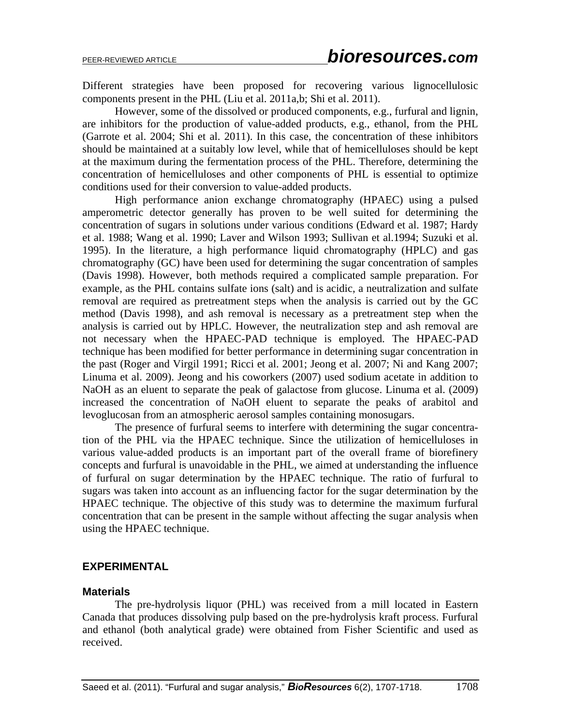Different strategies have been proposed for recovering various lignocellulosic components present in the PHL (Liu et al. 2011a,b; Shi et al. 2011).

However, some of the dissolved or produced components, e.g., furfural and lignin, are inhibitors for the production of value-added products, e.g., ethanol, from the PHL (Garrote et al. 2004; Shi et al. 2011). In this case, the concentration of these inhibitors should be maintained at a suitably low level, while that of hemicelluloses should be kept at the maximum during the fermentation process of the PHL. Therefore, determining the concentration of hemicelluloses and other components of PHL is essential to optimize conditions used for their conversion to value-added products.

High performance anion exchange chromatography (HPAEC) using a pulsed amperometric detector generally has proven to be well suited for determining the concentration of sugars in solutions under various conditions (Edward et al. 1987; Hardy et al. 1988; Wang et al. 1990; Laver and Wilson 1993; Sullivan et al.1994; Suzuki et al. 1995). In the literature, a high performance liquid chromatography (HPLC) and gas chromatography (GC) have been used for determining the sugar concentration of samples (Davis 1998). However, both methods required a complicated sample preparation. For example, as the PHL contains sulfate ions (salt) and is acidic, a neutralization and sulfate removal are required as pretreatment steps when the analysis is carried out by the GC method (Davis 1998), and ash removal is necessary as a pretreatment step when the analysis is carried out by HPLC. However, the neutralization step and ash removal are not necessary when the HPAEC-PAD technique is employed. The HPAEC-PAD technique has been modified for better performance in determining sugar concentration in the past (Roger and Virgil 1991; Ricci et al. 2001; Jeong et al. 2007; Ni and Kang 2007; Linuma et al. 2009). Jeong and his coworkers (2007) used sodium acetate in addition to NaOH as an eluent to separate the peak of galactose from glucose. Linuma et al. (2009) increased the concentration of NaOH eluent to separate the peaks of arabitol and levoglucosan from an atmospheric aerosol samples containing monosugars.

The presence of furfural seems to interfere with determining the sugar concentration of the PHL via the HPAEC technique. Since the utilization of hemicelluloses in various value-added products is an important part of the overall frame of biorefinery concepts and furfural is unavoidable in the PHL, we aimed at understanding the influence of furfural on sugar determination by the HPAEC technique. The ratio of furfural to sugars was taken into account as an influencing factor for the sugar determination by the HPAEC technique. The objective of this study was to determine the maximum furfural concentration that can be present in the sample without affecting the sugar analysis when using the HPAEC technique.

### **EXPERIMENTAL**

### **Materials**

The pre-hydrolysis liquor (PHL) was received from a mill located in Eastern Canada that produces dissolving pulp based on the pre-hydrolysis kraft process. Furfural and ethanol (both analytical grade) were obtained from Fisher Scientific and used as received.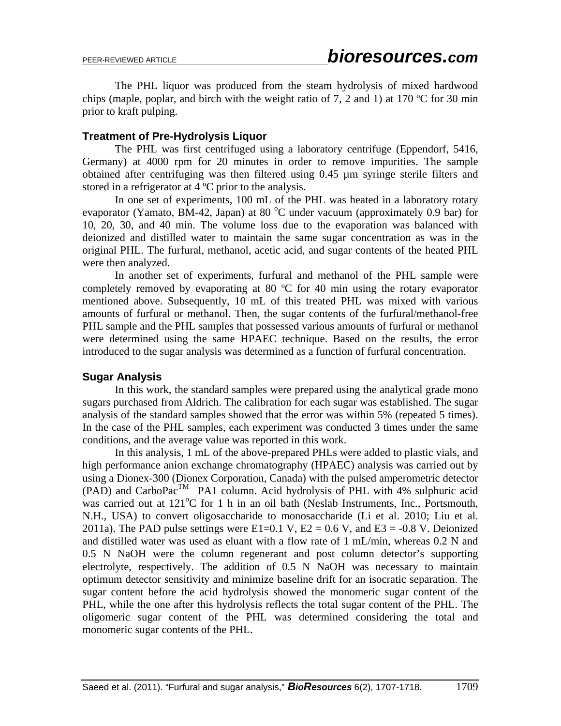The PHL liquor was produced from the steam hydrolysis of mixed hardwood chips (maple, poplar, and birch with the weight ratio of 7, 2 and 1) at 170  $\degree$ C for 30 min prior to kraft pulping.

#### **Treatment of Pre-Hydrolysis Liquor**

The PHL was first centrifuged using a laboratory centrifuge (Eppendorf, 5416, Germany) at 4000 rpm for 20 minutes in order to remove impurities. The sample obtained after centrifuging was then filtered using 0.45 µm syringe sterile filters and stored in a refrigerator at 4 ºC prior to the analysis.

In one set of experiments, 100 mL of the PHL was heated in a laboratory rotary evaporator (Yamato, BM-42, Japan) at 80  $^{\circ}$ C under vacuum (approximately 0.9 bar) for 10, 20, 30, and 40 min. The volume loss due to the evaporation was balanced with deionized and distilled water to maintain the same sugar concentration as was in the original PHL. The furfural, methanol, acetic acid, and sugar contents of the heated PHL were then analyzed.

In another set of experiments, furfural and methanol of the PHL sample were completely removed by evaporating at 80 ºC for 40 min using the rotary evaporator mentioned above. Subsequently, 10 mL of this treated PHL was mixed with various amounts of furfural or methanol. Then, the sugar contents of the furfural/methanol-free PHL sample and the PHL samples that possessed various amounts of furfural or methanol were determined using the same HPAEC technique. Based on the results, the error introduced to the sugar analysis was determined as a function of furfural concentration.

#### **Sugar Analysis**

In this work, the standard samples were prepared using the analytical grade mono sugars purchased from Aldrich. The calibration for each sugar was established. The sugar analysis of the standard samples showed that the error was within 5% (repeated 5 times). In the case of the PHL samples, each experiment was conducted 3 times under the same conditions, and the average value was reported in this work.

In this analysis, 1 mL of the above-prepared PHLs were added to plastic vials, and high performance anion exchange chromatography (HPAEC) analysis was carried out by using a Dionex-300 (Dionex Corporation, Canada) with the pulsed amperometric detector  $(PAD)$  and CarboPac<sup>TM</sup> PA1 column. Acid hydrolysis of PHL with 4% sulphuric acid was carried out at 121°C for 1 h in an oil bath (Neslab Instruments, Inc., Portsmouth, N.H., USA) to convert oligosaccharide to monosaccharide (Li et al. 2010; Liu et al. 2011a). The PAD pulse settings were E1=0.1 V,  $E2 = 0.6$  V, and E3 = -0.8 V. Deionized and distilled water was used as eluant with a flow rate of 1 mL/min, whereas 0.2 N and 0.5 N NaOH were the column regenerant and post column detector's supporting electrolyte, respectively. The addition of 0.5 N NaOH was necessary to maintain optimum detector sensitivity and minimize baseline drift for an isocratic separation. The sugar content before the acid hydrolysis showed the monomeric sugar content of the PHL, while the one after this hydrolysis reflects the total sugar content of the PHL. The oligomeric sugar content of the PHL was determined considering the total and monomeric sugar contents of the PHL.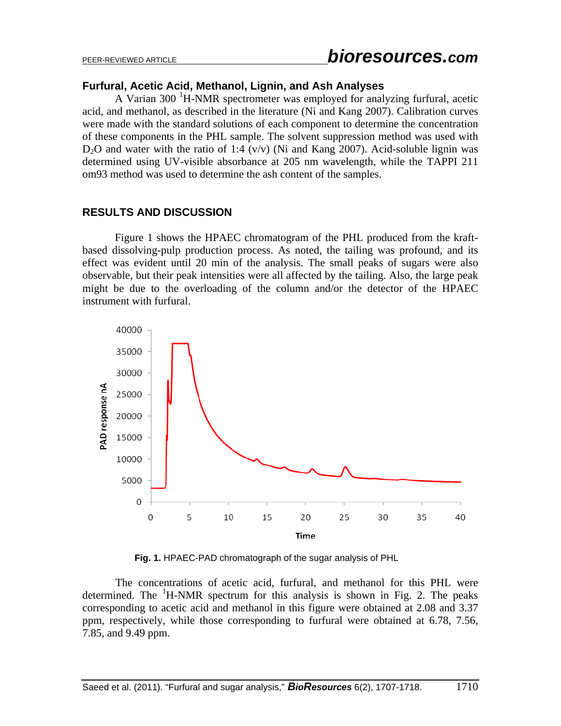#### **Furfural, Acetic Acid, Methanol, Lignin, and Ash Analyses**

A Varian 300 <sup>1</sup>H-NMR spectrometer was employed for analyzing furfural, acetic acid, and methanol, as described in the literature (Ni and Kang 2007). Calibration curves were made with the standard solutions of each component to determine the concentration of these components in the PHL sample. The solvent suppression method was used with  $D_2O$  and water with the ratio of 1:4 (v/v) (Ni and Kang 2007). Acid-soluble lignin was determined using UV-visible absorbance at 205 nm wavelength, while the TAPPI 211 om93 method was used to determine the ash content of the samples.

### **RESULTS AND DISCUSSION**

Figure 1 shows the HPAEC chromatogram of the PHL produced from the kraftbased dissolving-pulp production process. As noted, the tailing was profound, and its effect was evident until 20 min of the analysis. The small peaks of sugars were also observable, but their peak intensities were all affected by the tailing. Also, the large peak might be due to the overloading of the column and/or the detector of the HPAEC instrument with furfural.



**Fig. 1.** HPAEC-PAD chromatograph of the sugar analysis of PHL

The concentrations of acetic acid, furfural, and methanol for this PHL were determined. The  ${}^{1}$ H-NMR spectrum for this analysis is shown in Fig. 2. The peaks corresponding to acetic acid and methanol in this figure were obtained at 2.08 and 3.37 ppm, respectively, while those corresponding to furfural were obtained at 6.78, 7.56, 7.85, and 9.49 ppm.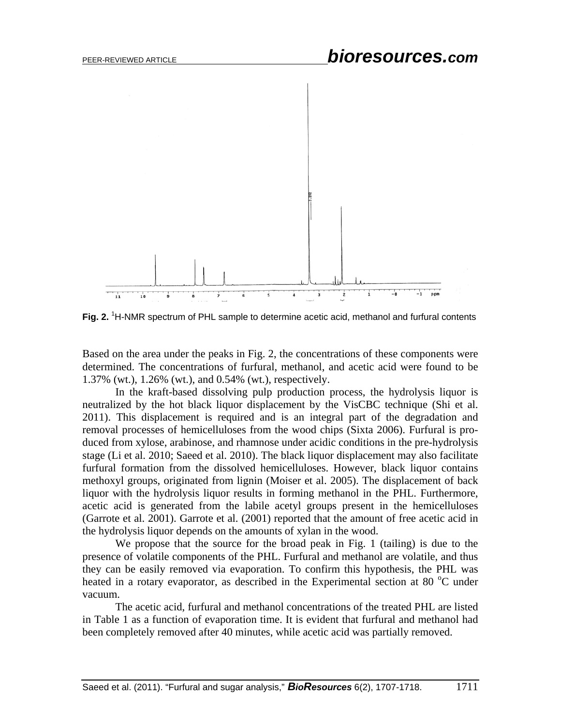

Fig. 2. <sup>1</sup>H-NMR spectrum of PHL sample to determine acetic acid, methanol and furfural contents

Based on the area under the peaks in Fig. 2, the concentrations of these components were determined. The concentrations of furfural, methanol, and acetic acid were found to be 1.37% (wt.), 1.26% (wt.), and 0.54% (wt.), respectively.

In the kraft-based dissolving pulp production process, the hydrolysis liquor is neutralized by the hot black liquor displacement by the VisCBC technique (Shi et al. 2011). This displacement is required and is an integral part of the degradation and removal processes of hemicelluloses from the wood chips (Sixta 2006). Furfural is produced from xylose, arabinose, and rhamnose under acidic conditions in the pre-hydrolysis stage (Li et al. 2010; Saeed et al. 2010). The black liquor displacement may also facilitate furfural formation from the dissolved hemicelluloses. However, black liquor contains methoxyl groups, originated from lignin (Moiser et al. 2005). The displacement of back liquor with the hydrolysis liquor results in forming methanol in the PHL. Furthermore, acetic acid is generated from the labile acetyl groups present in the hemicelluloses (Garrote et al. 2001). Garrote et al. (2001) reported that the amount of free acetic acid in the hydrolysis liquor depends on the amounts of xylan in the wood.

We propose that the source for the broad peak in Fig. 1 (tailing) is due to the presence of volatile components of the PHL. Furfural and methanol are volatile, and thus they can be easily removed via evaporation. To confirm this hypothesis, the PHL was heated in a rotary evaporator, as described in the Experimental section at 80 $^{\circ}$ C under vacuum.

The acetic acid, furfural and methanol concentrations of the treated PHL are listed in Table 1 as a function of evaporation time. It is evident that furfural and methanol had been completely removed after 40 minutes, while acetic acid was partially removed.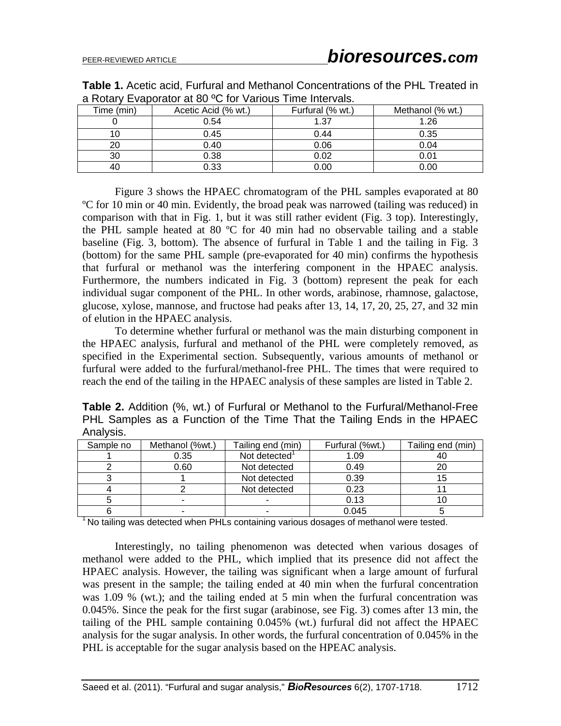| a Nulary Evapulatural ou "G Tur Valluus" Fillie IIItelvais. |                     |                  |                  |  |  |
|-------------------------------------------------------------|---------------------|------------------|------------------|--|--|
| Time (min)                                                  | Acetic Acid (% wt.) | Furfural (% wt.) | Methanol (% wt.) |  |  |
|                                                             | 0.54                | 1.37             | 1.26             |  |  |
|                                                             | 0.45                | 0.44             | 0.35             |  |  |
| 20                                                          | 0.40                | 0.06             | 0.04             |  |  |
| 30                                                          | 0.38                | 0.02             | 0.01             |  |  |
| 40                                                          | 0.33                | 0.00             | 0.00             |  |  |

**Table 1.** Acetic acid, Furfural and Methanol Concentrations of the PHL Treated in a Rotary Evaporator at 80 ºC for Various Time Intervals.

Figure 3 shows the HPAEC chromatogram of the PHL samples evaporated at 80 ºC for 10 min or 40 min. Evidently, the broad peak was narrowed (tailing was reduced) in comparison with that in Fig. 1, but it was still rather evident (Fig. 3 top). Interestingly, the PHL sample heated at 80 ºC for 40 min had no observable tailing and a stable baseline (Fig. 3, bottom). The absence of furfural in Table 1 and the tailing in Fig. 3 (bottom) for the same PHL sample (pre-evaporated for 40 min) confirms the hypothesis that furfural or methanol was the interfering component in the HPAEC analysis. Furthermore, the numbers indicated in Fig. 3 (bottom) represent the peak for each individual sugar component of the PHL. In other words, arabinose, rhamnose, galactose, glucose, xylose, mannose, and fructose had peaks after 13, 14, 17, 20, 25, 27, and 32 min of elution in the HPAEC analysis.

To determine whether furfural or methanol was the main disturbing component in the HPAEC analysis, furfural and methanol of the PHL were completely removed, as specified in the Experimental section. Subsequently, various amounts of methanol or furfural were added to the furfural/methanol-free PHL. The times that were required to reach the end of the tailing in the HPAEC analysis of these samples are listed in Table 2.

**Table 2.** Addition (%, wt.) of Furfural or Methanol to the Furfural/Methanol-Free PHL Samples as a Function of the Time That the Tailing Ends in the HPAEC Analysis.

| Sample no | Methanol (%wt.) | Tailing end (min) | Furfural (%wt.) | Tailing end (min) |
|-----------|-----------------|-------------------|-----------------|-------------------|
|           | 0.35            | Not detected      | 1.09            | 4U                |
|           | 0.60            | Not detected      | 0.49            |                   |
|           |                 | Not detected      | 0.39            |                   |
|           |                 | Not detected      | 0.23            |                   |
|           | ۰               |                   | 0.13            |                   |
|           |                 |                   | 0.045           |                   |

 $1$  No tailing was detected when PHLs containing various dosages of methanol were tested.

Interestingly, no tailing phenomenon was detected when various dosages of methanol were added to the PHL, which implied that its presence did not affect the HPAEC analysis. However, the tailing was significant when a large amount of furfural was present in the sample; the tailing ended at 40 min when the furfural concentration was 1.09 % (wt.); and the tailing ended at 5 min when the furfural concentration was 0.045%. Since the peak for the first sugar (arabinose, see Fig. 3) comes after 13 min, the tailing of the PHL sample containing 0.045% (wt.) furfural did not affect the HPAEC analysis for the sugar analysis. In other words, the furfural concentration of 0.045% in the PHL is acceptable for the sugar analysis based on the HPEAC analysis.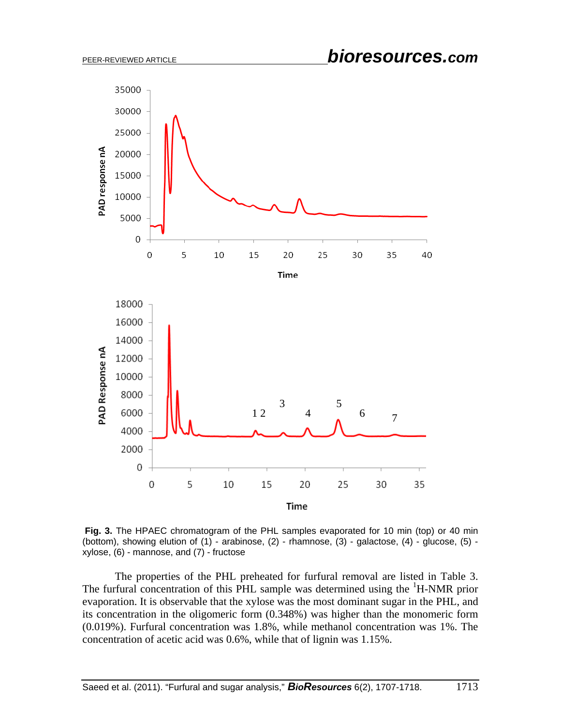

 **Fig. 3.** The HPAEC chromatogram of the PHL samples evaporated for 10 min (top) or 40 min (bottom), showing elution of (1) - arabinose, (2) - rhamnose, (3) - galactose, (4) - glucose, (5) xylose, (6) - mannose, and (7) - fructose

The properties of the PHL preheated for furfural removal are listed in Table 3. The furfural concentration of this PHL sample was determined using the <sup>1</sup>H-NMR prior evaporation. It is observable that the xylose was the most dominant sugar in the PHL, and its concentration in the oligomeric form (0.348%) was higher than the monomeric form (0.019%). Furfural concentration was 1.8%, while methanol concentration was 1%. The concentration of acetic acid was 0.6%, while that of lignin was 1.15%.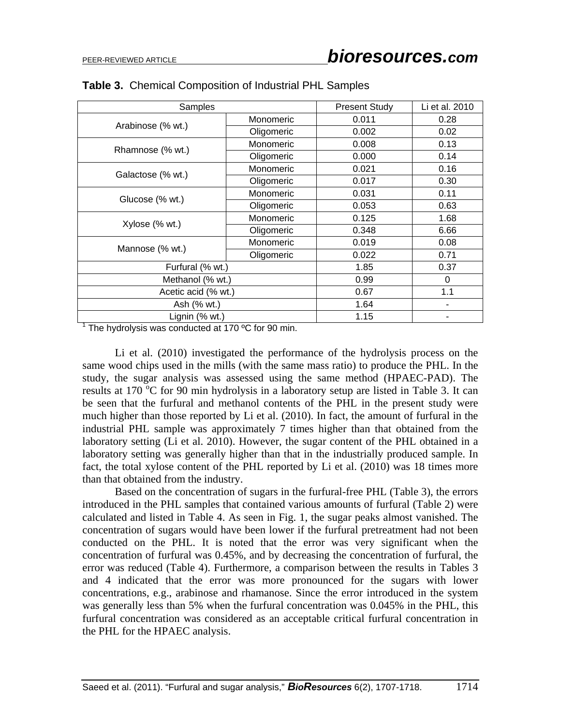| Samples             |                                                                                                                                                                                            | <b>Present Study</b> | Li et al. 2010 |
|---------------------|--------------------------------------------------------------------------------------------------------------------------------------------------------------------------------------------|----------------------|----------------|
|                     | Monomeric                                                                                                                                                                                  | 0.011                | 0.28           |
| Arabinose (% wt.)   | Oligomeric                                                                                                                                                                                 | 0.002                |                |
|                     | Monomeric                                                                                                                                                                                  | 0.008                | 0.13           |
| Rhamnose (% wt.)    | Oligomeric                                                                                                                                                                                 | 0.000                | 0.14           |
|                     | Monomeric                                                                                                                                                                                  | 0.021                | 0.16           |
| Galactose (% wt.)   | 0.017<br>Oligomeric<br>Monomeric<br>0.031<br>Oligomeric<br>0.053<br>Monomeric<br>0.125<br>0.348<br>Oligomeric<br>Monomeric<br>0.019<br>Oligomeric<br>0.022<br>1.85<br>0.99<br>0.67<br>1.64 | 0.30                 |                |
|                     |                                                                                                                                                                                            |                      | 0.11           |
| Glucose (% wt.)     |                                                                                                                                                                                            |                      | 0.63           |
| Xylose (% wt.)      |                                                                                                                                                                                            |                      | 1.68           |
|                     |                                                                                                                                                                                            | 6.66                 |                |
|                     |                                                                                                                                                                                            |                      | 0.08           |
| Mannose (% wt.)     |                                                                                                                                                                                            |                      | 0.71           |
|                     | Furfural (% wt.)                                                                                                                                                                           |                      | 0.37           |
| Methanol (% wt.)    |                                                                                                                                                                                            |                      | $\Omega$       |
| Acetic acid (% wt.) |                                                                                                                                                                                            |                      | 1.1            |
| Ash (% wt.)         |                                                                                                                                                                                            |                      |                |
| Lignin (% wt.)      |                                                                                                                                                                                            | 1.15                 |                |

#### **Table 3.** Chemical Composition of Industrial PHL Samples

 $1$  The hydrolysis was conducted at 170 °C for 90 min.

Li et al. (2010) investigated the performance of the hydrolysis process on the same wood chips used in the mills (with the same mass ratio) to produce the PHL. In the study, the sugar analysis was assessed using the same method (HPAEC-PAD). The results at 170 $\degree$ C for 90 min hydrolysis in a laboratory setup are listed in Table 3. It can be seen that the furfural and methanol contents of the PHL in the present study were much higher than those reported by Li et al. (2010). In fact, the amount of furfural in the industrial PHL sample was approximately 7 times higher than that obtained from the laboratory setting (Li et al. 2010). However, the sugar content of the PHL obtained in a laboratory setting was generally higher than that in the industrially produced sample. In fact, the total xylose content of the PHL reported by Li et al. (2010) was 18 times more than that obtained from the industry.

Based on the concentration of sugars in the furfural-free PHL (Table 3), the errors introduced in the PHL samples that contained various amounts of furfural (Table 2) were calculated and listed in Table 4. As seen in Fig. 1, the sugar peaks almost vanished. The concentration of sugars would have been lower if the furfural pretreatment had not been conducted on the PHL. It is noted that the error was very significant when the concentration of furfural was 0.45%, and by decreasing the concentration of furfural, the error was reduced (Table 4). Furthermore, a comparison between the results in Tables 3 and 4 indicated that the error was more pronounced for the sugars with lower concentrations, e.g., arabinose and rhamanose. Since the error introduced in the system was generally less than 5% when the furfural concentration was 0.045% in the PHL, this furfural concentration was considered as an acceptable critical furfural concentration in the PHL for the HPAEC analysis.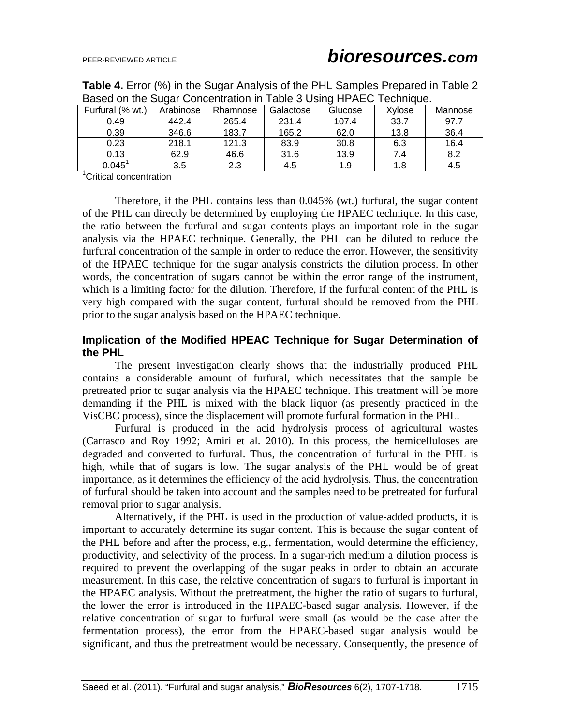| Dascu UIT the Ougar Concentration in Trable 5 Osing I'll ALC Technique. |           |          |           |         |        |         |
|-------------------------------------------------------------------------|-----------|----------|-----------|---------|--------|---------|
| Furfural (% wt.)                                                        | Arabinose | Rhamnose | Galactose | Glucose | Xylose | Mannose |
| 0.49                                                                    | 442.4     | 265.4    | 231.4     | 107.4   | 33.7   | 97.7    |
| 0.39                                                                    | 346.6     | 183.7    | 165.2     | 62.0    | 13.8   | 36.4    |
| 0.23                                                                    | 218.1     | 121.3    | 83.9      | 30.8    | 6.3    | 16.4    |
| 0.13                                                                    | 62.9      | 46.6     | 31.6      | 13.9    | 7.4    | 8.2     |
| $0.045$ <sup>1</sup>                                                    | 3.5       | 2.3      | 4.5       | 1.9     | 1.8    | 4.5     |

**Table 4.** Error (%) in the Sugar Analysis of the PHL Samples Prepared in Table 2 Based on the Sugar Concentration in Table 3 Using HPAEC Technique.

<sup>1</sup>Critical concentration

Therefore, if the PHL contains less than 0.045% (wt.) furfural, the sugar content of the PHL can directly be determined by employing the HPAEC technique. In this case, the ratio between the furfural and sugar contents plays an important role in the sugar analysis via the HPAEC technique. Generally, the PHL can be diluted to reduce the furfural concentration of the sample in order to reduce the error. However, the sensitivity of the HPAEC technique for the sugar analysis constricts the dilution process. In other words, the concentration of sugars cannot be within the error range of the instrument, which is a limiting factor for the dilution. Therefore, if the furfural content of the PHL is very high compared with the sugar content, furfural should be removed from the PHL prior to the sugar analysis based on the HPAEC technique.

### **Implication of the Modified HPEAC Technique for Sugar Determination of the PHL**

The present investigation clearly shows that the industrially produced PHL contains a considerable amount of furfural, which necessitates that the sample be pretreated prior to sugar analysis via the HPAEC technique. This treatment will be more demanding if the PHL is mixed with the black liquor (as presently practiced in the VisCBC process), since the displacement will promote furfural formation in the PHL.

Furfural is produced in the acid hydrolysis process of agricultural wastes (Carrasco and Roy 1992; Amiri et al. 2010). In this process, the hemicelluloses are degraded and converted to furfural. Thus, the concentration of furfural in the PHL is high, while that of sugars is low. The sugar analysis of the PHL would be of great importance, as it determines the efficiency of the acid hydrolysis. Thus, the concentration of furfural should be taken into account and the samples need to be pretreated for furfural removal prior to sugar analysis.

Alternatively, if the PHL is used in the production of value-added products, it is important to accurately determine its sugar content. This is because the sugar content of the PHL before and after the process, e.g., fermentation, would determine the efficiency, productivity, and selectivity of the process. In a sugar-rich medium a dilution process is required to prevent the overlapping of the sugar peaks in order to obtain an accurate measurement. In this case, the relative concentration of sugars to furfural is important in the HPAEC analysis. Without the pretreatment, the higher the ratio of sugars to furfural, the lower the error is introduced in the HPAEC-based sugar analysis. However, if the relative concentration of sugar to furfural were small (as would be the case after the fermentation process), the error from the HPAEC-based sugar analysis would be significant, and thus the pretreatment would be necessary. Consequently, the presence of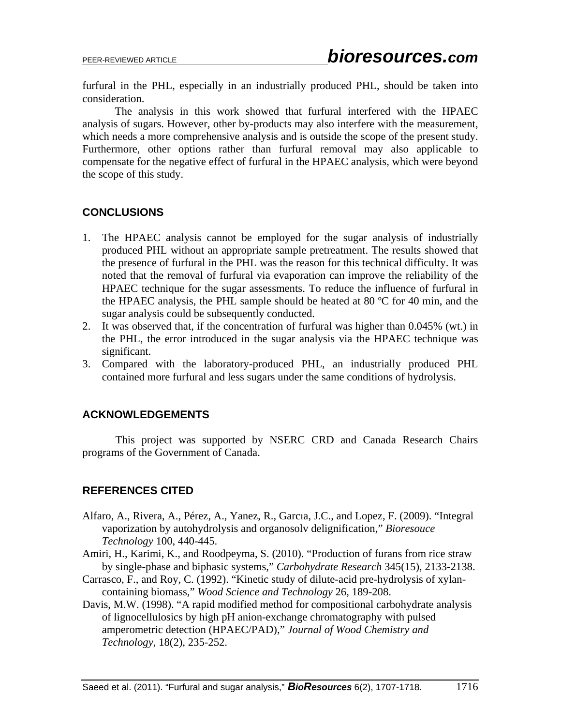furfural in the PHL, especially in an industrially produced PHL, should be taken into consideration.

The analysis in this work showed that furfural interfered with the HPAEC analysis of sugars. However, other by-products may also interfere with the measurement, which needs a more comprehensive analysis and is outside the scope of the present study. Furthermore, other options rather than furfural removal may also applicable to compensate for the negative effect of furfural in the HPAEC analysis, which were beyond the scope of this study.

# **CONCLUSIONS**

- 1. The HPAEC analysis cannot be employed for the sugar analysis of industrially produced PHL without an appropriate sample pretreatment. The results showed that the presence of furfural in the PHL was the reason for this technical difficulty. It was noted that the removal of furfural via evaporation can improve the reliability of the HPAEC technique for the sugar assessments. To reduce the influence of furfural in the HPAEC analysis, the PHL sample should be heated at 80 ºC for 40 min, and the sugar analysis could be subsequently conducted.
- 2. It was observed that, if the concentration of furfural was higher than 0.045% (wt.) in the PHL, the error introduced in the sugar analysis via the HPAEC technique was significant.
- 3. Compared with the laboratory-produced PHL, an industrially produced PHL contained more furfural and less sugars under the same conditions of hydrolysis.

### **ACKNOWLEDGEMENTS**

This project was supported by NSERC CRD and Canada Research Chairs programs of the Government of Canada.

# **REFERENCES CITED**

- Alfaro, A., Rivera, A., Pérez, A., Yanez, R., Garcıa, J.C., and Lopez, F. (2009). "Integral vaporization by autohydrolysis and organosolv delignification," *Bioresouce Technology* 100, 440-445.
- Amiri, H., Karimi, K., and Roodpeyma, S. (2010). "Production of furans from rice straw by single-phase and biphasic systems," *Carbohydrate Research* 345(15), 2133-2138.
- Carrasco, F., and Roy, C. (1992). "Kinetic study of dilute-acid pre-hydrolysis of xylancontaining biomass," *Wood Science and Technology* 26, 189-208.
- Davis, M.W. (1998). "A rapid modified method for compositional carbohydrate analysis of lignocellulosics by high pH anion-exchange chromatography with pulsed amperometric detection (HPAEC/PAD)," *Journal of Wood Chemistry and Technology*, 18(2), 235-252.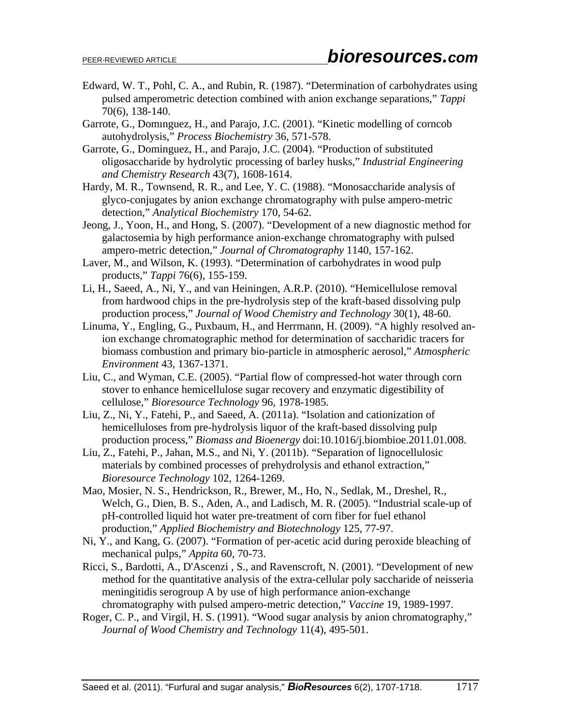- Edward, W. T., Pohl, C. A., and Rubin, R. (1987). "Determination of carbohydrates using pulsed amperometric detection combined with anion exchange separations," *Tappi* 70(6), 138-140.
- Garrote, G., Domınguez, H., and Parajo, J.C. (2001). "Kinetic modelling of corncob autohydrolysis," *Process Biochemistry* 36, 571-578.
- Garrote, G., Dominguez, H., and Parajo, J.C. (2004). "Production of substituted oligosaccharide by hydrolytic processing of barley husks," *Industrial Engineering and Chemistry Research* 43(7), 1608-1614.
- Hardy, M. R., Townsend, R. R., and Lee, Y. C. (1988). "Monosaccharide analysis of glyco-conjugates by anion exchange chromatography with pulse ampero-metric detection," *Analytical Biochemistry* 170, 54-62.
- Jeong, J., Yoon, H., and Hong, S. (2007). "Development of a new diagnostic method for galactosemia by high performance anion-exchange chromatography with pulsed ampero-metric detection," *Journal of Chromatography* 1140, 157-162.
- Laver, M., and Wilson, K. (1993). "Determination of carbohydrates in wood pulp products," *Tappi* 76(6), 155-159.
- Li, H., Saeed, A., Ni, Y., and van Heiningen, A.R.P. (2010). "Hemicellulose removal from hardwood chips in the pre-hydrolysis step of the kraft-based dissolving pulp production process," *Journal of Wood Chemistry and Technology* 30(1), 48-60.
- Linuma, Y., Engling, G., Puxbaum, H., and Herrmann, H. (2009). "A highly resolved anion exchange chromatographic method for determination of saccharidic tracers for biomass combustion and primary bio-particle in atmospheric aerosol," *Atmospheric Environment* 43, 1367-1371.
- Liu, C., and Wyman, C.E. (2005). "Partial flow of compressed-hot water through corn stover to enhance hemicellulose sugar recovery and enzymatic digestibility of cellulose," *Bioresource Technology* 96, 1978-1985.
- Liu, Z., Ni, Y., Fatehi, P., and Saeed, A. (2011a). "Isolation and cationization of hemicelluloses from pre-hydrolysis liquor of the kraft-based dissolving pulp production process," *Biomass and Bioenergy* doi:10.1016/j.biombioe.2011.01.008.
- Liu, Z., Fatehi, P., Jahan, M.S., and Ni, Y. (2011b). "Separation of lignocellulosic materials by combined processes of prehydrolysis and ethanol extraction," *Bioresource Technology* 102, 1264-1269.
- Mao, Mosier, N. S., Hendrickson, R., Brewer, M., Ho, N., Sedlak, M., Dreshel, R., Welch, G., Dien, B. S., Aden, A., and Ladisch, M. R. (2005). "Industrial scale-up of pH-controlled liquid hot water pre-treatment of corn fiber for fuel ethanol production," *Applied Biochemistry and Biotechnology* 125, 77-97.
- Ni, Y., and Kang, G. (2007). "Formation of per-acetic acid during peroxide bleaching of mechanical pulps," *Appita* 60, 70-73.
- Ricci, S., Bardotti, A., D'Ascenzi , S., and Ravenscroft, N. (2001). "Development of new method for the quantitative analysis of the extra-cellular poly saccharide of neisseria meningitidis serogroup A by use of high performance anion-exchange chromatography with pulsed ampero-metric detection," *Vaccine* 19, 1989-1997.
- Roger, C. P., and Virgil, H. S. (1991). "Wood sugar analysis by anion chromatography," *Journal of Wood Chemistry and Technology* 11(4), 495-501.